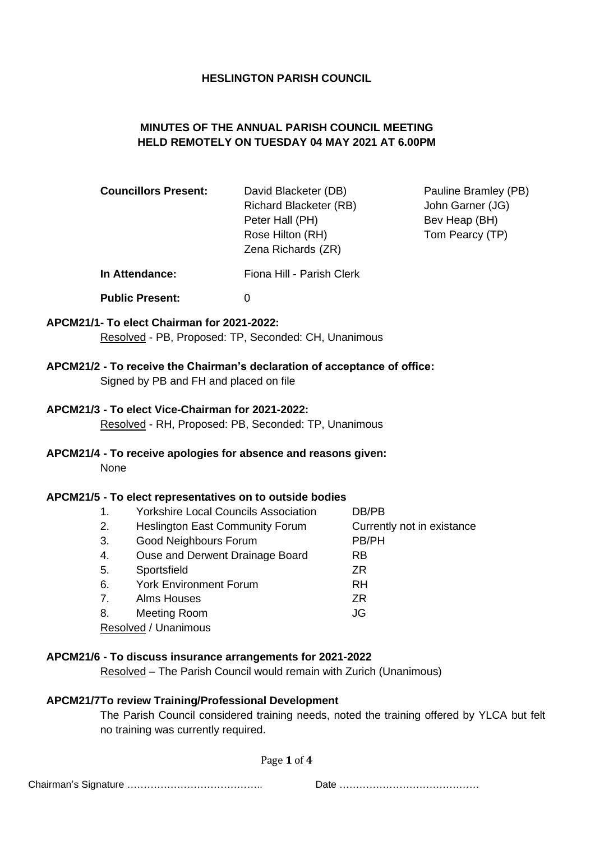#### **HESLINGTON PARISH COUNCIL**

## **MINUTES OF THE ANNUAL PARISH COUNCIL MEETING HELD REMOTELY ON TUESDAY 04 MAY 2021 AT 6.00PM**

| <b>Councillors Present:</b> | David Blacketer (DB)<br><b>Richard Blacketer (RB)</b><br>Peter Hall (PH)<br>Rose Hilton (RH)<br>Zena Richards (ZR) | Pauline Bramley (PB)<br>John Garner (JG)<br>Bev Heap (BH)<br>Tom Pearcy (TP) |  |
|-----------------------------|--------------------------------------------------------------------------------------------------------------------|------------------------------------------------------------------------------|--|
| In Attendance:              | Fiona Hill - Parish Clerk                                                                                          |                                                                              |  |
| <b>Public Present:</b>      | 0                                                                                                                  |                                                                              |  |

## **APCM21/1- To elect Chairman for 2021-2022:** Resolved - PB, Proposed: TP, Seconded: CH, Unanimous

## **APCM21/2 - To receive the Chairman's declaration of acceptance of office:**

Signed by PB and FH and placed on file

## **APCM21/3 - To elect Vice-Chairman for 2021-2022:**

Resolved - RH, Proposed: PB, Seconded: TP, Unanimous

# **APCM21/4 - To receive apologies for absence and reasons given:**

None

### **APCM21/5 - To elect representatives on to outside bodies**

| 1.                   | <b>Yorkshire Local Councils Association</b> | DB/PB                      |  |  |
|----------------------|---------------------------------------------|----------------------------|--|--|
| 2.                   | <b>Heslington East Community Forum</b>      | Currently not in existance |  |  |
| 3.                   | Good Neighbours Forum                       | PB/PH                      |  |  |
| 4.                   | Ouse and Derwent Drainage Board             | <b>RB</b>                  |  |  |
| 5.                   | Sportsfield                                 | ZR.                        |  |  |
| 6.                   | <b>York Environment Forum</b>               | RH                         |  |  |
| 7.                   | <b>Alms Houses</b>                          | ZR.                        |  |  |
| 8.                   | Meeting Room                                | JG                         |  |  |
| Resolved / Unanimous |                                             |                            |  |  |

#### **APCM21/6 - To discuss insurance arrangements for 2021-2022**

Resolved – The Parish Council would remain with Zurich (Unanimous)

## **APCM21/7To review Training/Professional Development**

The Parish Council considered training needs, noted the training offered by YLCA but felt no training was currently required.

Page **1** of **4**

|--|--|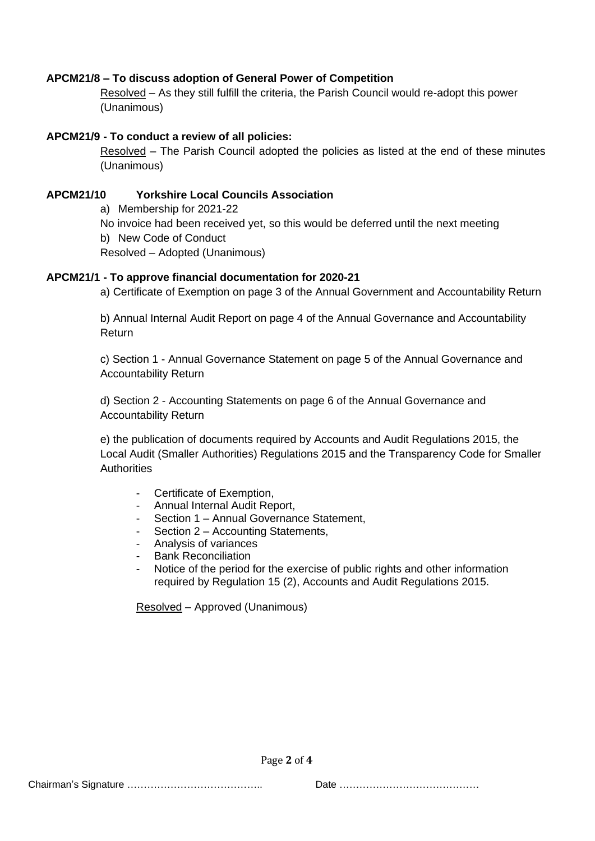## **APCM21/8 – To discuss adoption of General Power of Competition**

Resolved – As they still fulfill the criteria, the Parish Council would re-adopt this power (Unanimous)

### **APCM21/9 - To conduct a review of all policies:**

Resolved – The Parish Council adopted the policies as listed at the end of these minutes (Unanimous)

#### **APCM21/10 Yorkshire Local Councils Association**

a) Membership for 2021-22

No invoice had been received yet, so this would be deferred until the next meeting

b) New Code of Conduct

Resolved – Adopted (Unanimous)

#### **APCM21/1 - To approve financial documentation for 2020-21**

a) Certificate of Exemption on page 3 of the Annual Government and Accountability Return

b) Annual Internal Audit Report on page 4 of the Annual Governance and Accountability **Return** 

c) Section 1 - Annual Governance Statement on page 5 of the Annual Governance and Accountability Return

d) Section 2 - Accounting Statements on page 6 of the Annual Governance and Accountability Return

e) the publication of documents required by Accounts and Audit Regulations 2015, the Local Audit (Smaller Authorities) Regulations 2015 and the Transparency Code for Smaller **Authorities** 

- Certificate of Exemption,
- Annual Internal Audit Report,
- Section 1 Annual Governance Statement,
- Section 2 Accounting Statements,
- Analysis of variances
- Bank Reconciliation
- Notice of the period for the exercise of public rights and other information required by Regulation 15 (2), Accounts and Audit Regulations 2015.

Resolved – Approved (Unanimous)

Page **2** of **4**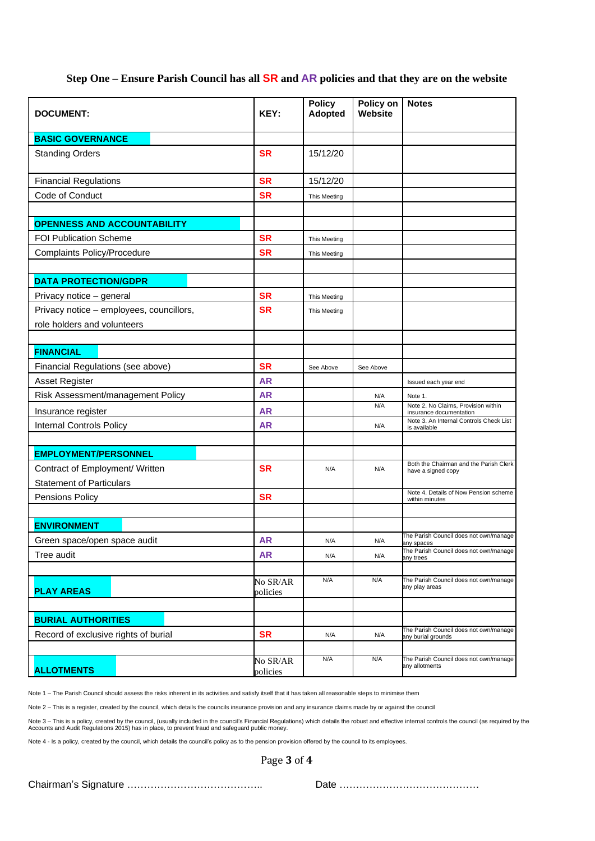#### **Step One – Ensure Parish Council has all SR and AR policies and that they are on the website**

| <b>DOCUMENT:</b>                         | KEY:                 | <b>Policy</b><br><b>Adopted</b> | Policy on<br><b>Website</b> | <b>Notes</b>                                                   |
|------------------------------------------|----------------------|---------------------------------|-----------------------------|----------------------------------------------------------------|
| <b>BASIC GOVERNANCE</b>                  |                      |                                 |                             |                                                                |
| <b>Standing Orders</b>                   | <b>SR</b>            | 15/12/20                        |                             |                                                                |
| <b>Financial Regulations</b>             | <b>SR</b>            | 15/12/20                        |                             |                                                                |
| Code of Conduct                          | <b>SR</b>            | This Meeting                    |                             |                                                                |
|                                          |                      |                                 |                             |                                                                |
| <b>OPENNESS AND ACCOUNTABILITY</b>       |                      |                                 |                             |                                                                |
| <b>FOI Publication Scheme</b>            | <b>SR</b>            | This Meeting                    |                             |                                                                |
| <b>Complaints Policy/Procedure</b>       | <b>SR</b>            | This Meeting                    |                             |                                                                |
|                                          |                      |                                 |                             |                                                                |
| <b>DATA PROTECTION/GDPR</b>              |                      |                                 |                             |                                                                |
| Privacy notice - general                 | <b>SR</b>            | This Meeting                    |                             |                                                                |
| Privacy notice - employees, councillors, | <b>SR</b>            | This Meeting                    |                             |                                                                |
| role holders and volunteers              |                      |                                 |                             |                                                                |
| <b>FINANCIAL</b>                         |                      |                                 |                             |                                                                |
| Financial Regulations (see above)        | <b>SR</b>            | See Above                       | See Above                   |                                                                |
| Asset Register                           | <b>AR</b>            |                                 |                             | Issued each year end                                           |
| Risk Assessment/management Policy        | <b>AR</b>            |                                 | N/A                         | Note 1.                                                        |
| Insurance register                       | <b>AR</b>            |                                 | N/A                         | Note 2. No Claims, Provision within<br>insurance documentation |
| <b>Internal Controls Policy</b>          | <b>AR</b>            |                                 | N/A                         | Note 3. An Internal Controls Check List<br>is available        |
|                                          |                      |                                 |                             |                                                                |
| <b>EMPLOYMENT/PERSONNEL</b>              |                      |                                 |                             |                                                                |
| Contract of Employment/ Written          | <b>SR</b>            | N/A                             | N/A                         | Both the Chairman and the Parish Clerk<br>have a signed copy   |
| <b>Statement of Particulars</b>          |                      |                                 |                             |                                                                |
| Pensions Policy                          | <b>SR</b>            |                                 |                             | Note 4. Details of Now Pension scheme<br>within minutes        |
|                                          |                      |                                 |                             |                                                                |
| <b>ENVIRONMENT</b>                       |                      |                                 |                             |                                                                |
| Green space/open space audit             | <b>AR</b>            | N/A                             | N/A                         | The Parish Council does not own/manage<br>any spaces           |
| Tree audit                               | <b>AR</b>            | N/A                             | N/A                         | The Parish Council does not own/manage<br>any trees            |
|                                          |                      | N/A                             | N/A                         | The Parish Council does not own/manage                         |
| <b>PLAY AREAS</b>                        | No SR/AR<br>policies |                                 |                             | any play areas                                                 |
|                                          |                      |                                 |                             |                                                                |
| <b>BURIAL AUTHORITIES</b>                |                      |                                 |                             |                                                                |
| Record of exclusive rights of burial     | <b>SR</b>            | N/A                             | N/A                         | The Parish Council does not own/manage<br>any burial grounds   |
|                                          |                      |                                 |                             |                                                                |
| <b>ALLOTMENTS</b>                        | No SR/AR<br>policies | N/A                             | N/A                         | The Parish Council does not own/manage<br>any allotments       |

Note 1 – The Parish Council should assess the risks inherent in its activities and satisfy itself that it has taken all reasonable steps to minimise them

Note 2 – This is a register, created by the council, which details the councils insurance provision and any insurance claims made by or against the council

Note 3 – This is a policy, created by the council, (usually included in the council's Financial Regulations) which details the robust and effective internal controls the council (as required by the<br>Accounts and Audit Regul

Note 4 - Is a policy, created by the council, which details the council's policy as to the pension provision offered by the council to its employees.

Page **3** of **4**

Chairman's Signature ………………………………….. Date ……………………………………